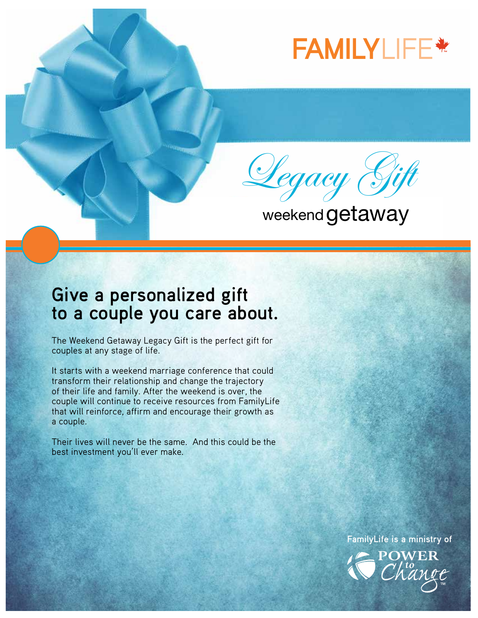## **FAMILY**LIFE **™**



weekend getaway

## **Give a personalized gift to a couple you care about.**

The Weekend Getaway Legacy Gift is the perfect gift for couples at any stage of life.

It starts with a weekend marriage conference that could transform their relationship and change the trajectory of their life and family. After the weekend is over, the couple will continue to receive resources from FamilyLife that will reinforce, affirm and encourage their growth as a couple.

Their lives will never be the same. And this could be the best investment you'll ever make.

**FamilyLife is a ministry of**